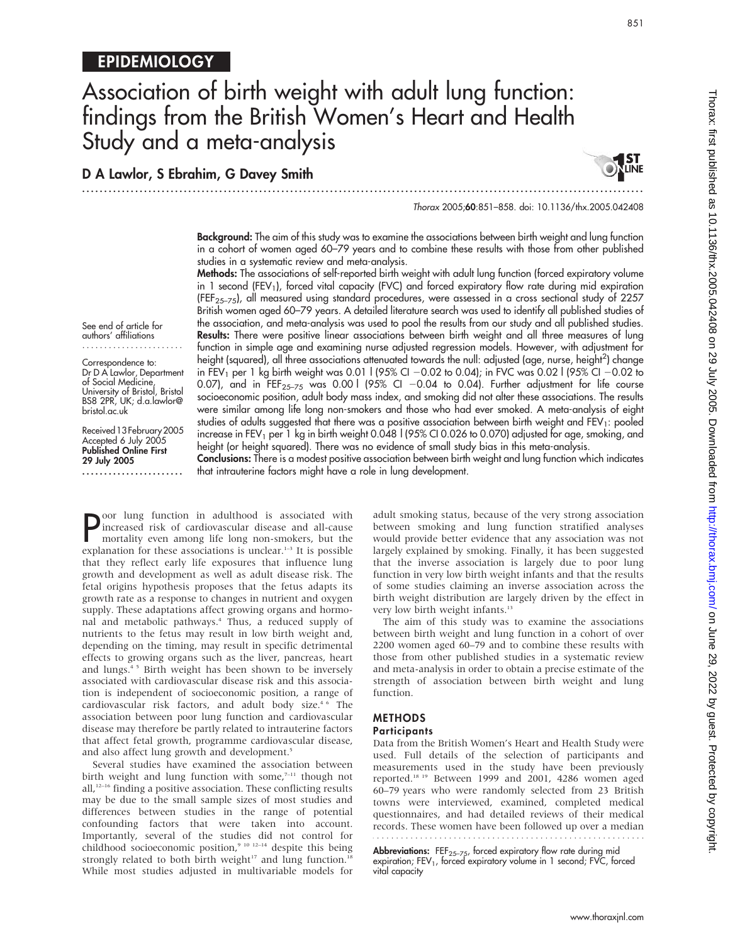## **EPIDEMIOLOGY**

# Association of birth weight with adult lung function: findings from the British Women's Heart and Health Study and a meta-analysis

...............................................................................................................................

D A Lawlor, S Ebrahim, G Davey Smith



851

Thorax 2005;60:851–858. doi: 10.1136/thx.2005.042408

Background: The aim of this study was to examine the associations between birth weight and lung function in a cohort of women aged 60–79 years and to combine these results with those from other published studies in a systematic review and meta-analysis.

Methods: The associations of self-reported birth weight with adult lung function (forced expiratory volume in 1 second (FEV<sub>1</sub>), forced vital capacity (FVC) and forced expiratory flow rate during mid expiration  $(FE_{25-75})$ , all measured using standard procedures, were assessed in a cross sectional study of 2257 British women aged 60–79 years. A detailed literature search was used to identify all published studies of the association, and meta-analysis was used to pool the results from our study and all published studies. Results: There were positive linear associations between birth weight and all three measures of lung function in simple age and examining nurse adjusted regression models. However, with adjustment for height (squared), all three associations attenuated towards the null: adjusted (age, nurse, height<sup>2</sup>) change in FEV<sub>1</sub> per 1 kg birth weight was 0.01 l (95% CI -0.02 to 0.04); in FVC was 0.02 l (95% CI -0.02 to 0.07), and in FEF<sub>25–75</sub> was 0.00 | (95% CI -0.04 to 0.04). Further adjustment for life course socioeconomic position, adult body mass index, and smoking did not alter these associations. The results were similar among life long non-smokers and those who had ever smoked. A meta-analysis of eight studies of adults suggested that there was a positive association between birth weight and  $FEV<sub>1</sub>$ : pooled increase in FEV<sub>1</sub> per 1 kg in birth weight 0.048 l (95% CI 0.026 to 0.070) adjusted for age, smoking, and height (or height squared). There was no evidence of small study bias in this meta-analysis.

See end of article for authors' affiliations

Correspondence to: Dr D A Lawlor, Department of Social Medicine, University of Bristol, Bristol BS8 2PR, UK; d.a.lawlor@ bristol.ac.uk

.......................

Received 13 February 2005 Accepted 6 July 2005 Published Online First 29 July 2005 .......................

Conclusions: There is a modest positive association between birth weight and lung function which indicates that intrauterine factors might have a role in lung development.

**P** oor lung function in adulthood is associated with<br>increased risk of cardiovascular disease and all-cause<br>mortality even among life long non-smokers, but the<br>explanation for these associations is unclear  $\frac{1}{2}$  It i increased risk of cardiovascular disease and all-cause mortality even among life long non-smokers, but the explanation for these associations is unclear. $1-3$  It is possible that they reflect early life exposures that influence lung growth and development as well as adult disease risk. The fetal origins hypothesis proposes that the fetus adapts its growth rate as a response to changes in nutrient and oxygen supply. These adaptations affect growing organs and hormonal and metabolic pathways.4 Thus, a reduced supply of nutrients to the fetus may result in low birth weight and, depending on the timing, may result in specific detrimental effects to growing organs such as the liver, pancreas, heart and lungs.<sup>45</sup> Birth weight has been shown to be inversely associated with cardiovascular disease risk and this association is independent of socioeconomic position, a range of cardiovascular risk factors, and adult body size.<sup>4 6</sup> The association between poor lung function and cardiovascular disease may therefore be partly related to intrauterine factors that affect fetal growth, programme cardiovascular disease, and also affect lung growth and development.<sup>5</sup>

Several studies have examined the association between birth weight and lung function with some, $7-11$  though not all,12–16 finding a positive association. These conflicting results may be due to the small sample sizes of most studies and differences between studies in the range of potential confounding factors that were taken into account. Importantly, several of the studies did not control for childhood socioeconomic position,9 10 12–14 despite this being strongly related to both birth weight<sup>17</sup> and lung function.<sup>18</sup> While most studies adjusted in multivariable models for

adult smoking status, because of the very strong association between smoking and lung function stratified analyses would provide better evidence that any association was not largely explained by smoking. Finally, it has been suggested that the inverse association is largely due to poor lung function in very low birth weight infants and that the results of some studies claiming an inverse association across the birth weight distribution are largely driven by the effect in very low birth weight infants.<sup>13</sup>

The aim of this study was to examine the associations between birth weight and lung function in a cohort of over 2200 women aged 60–79 and to combine these results with those from other published studies in a systematic review and meta-analysis in order to obtain a precise estimate of the strength of association between birth weight and lung function.

## METHODS

## **Participants**

Data from the British Women's Heart and Health Study were used. Full details of the selection of participants and measurements used in the study have been previously reported.18 19 Between 1999 and 2001, 4286 women aged 60–79 years who were randomly selected from 23 British towns were interviewed, examined, completed medical questionnaires, and had detailed reviews of their medical records. These women have been followed up over a median

Abbreviations: FEF<sub>25-75</sub>, forced expiratory flow rate during mid expiration;  $FEV<sub>1</sub>$ , forced expiratory volume in 1 second; FVC, forced vital capacity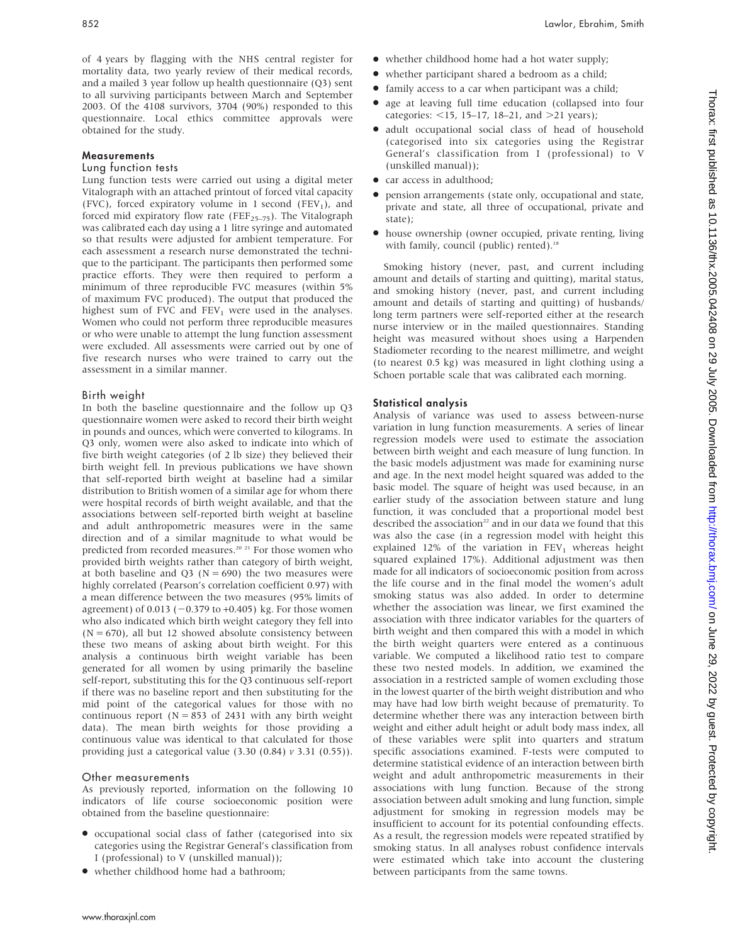## Measurements

### Lung function tests

Lung function tests were carried out using a digital meter Vitalograph with an attached printout of forced vital capacity (FVC), forced expiratory volume in 1 second (FEV<sub>1</sub>), and forced mid expiratory flow rate (FEF<sub>25-75</sub>). The Vitalograph was calibrated each day using a 1 litre syringe and automated so that results were adjusted for ambient temperature. For each assessment a research nurse demonstrated the technique to the participant. The participants then performed some practice efforts. They were then required to perform a minimum of three reproducible FVC measures (within 5% of maximum FVC produced). The output that produced the highest sum of FVC and  $FEV_1$  were used in the analyses. Women who could not perform three reproducible measures or who were unable to attempt the lung function assessment were excluded. All assessments were carried out by one of five research nurses who were trained to carry out the assessment in a similar manner.

### Birth weight

In both the baseline questionnaire and the follow up Q3 questionnaire women were asked to record their birth weight in pounds and ounces, which were converted to kilograms. In Q3 only, women were also asked to indicate into which of five birth weight categories (of 2 lb size) they believed their birth weight fell. In previous publications we have shown that self-reported birth weight at baseline had a similar distribution to British women of a similar age for whom there were hospital records of birth weight available, and that the associations between self-reported birth weight at baseline and adult anthropometric measures were in the same direction and of a similar magnitude to what would be predicted from recorded measures.<sup>20</sup><sup>21</sup> For those women who provided birth weights rather than category of birth weight, at both baseline and Q3 ( $N = 690$ ) the two measures were highly correlated (Pearson's correlation coefficient 0.97) with a mean difference between the two measures (95% limits of agreement) of  $0.013$  ( $-0.379$  to  $+0.405$ ) kg. For those women who also indicated which birth weight category they fell into  $(N = 670)$ , all but 12 showed absolute consistency between these two means of asking about birth weight. For this analysis a continuous birth weight variable has been generated for all women by using primarily the baseline self-report, substituting this for the Q3 continuous self-report if there was no baseline report and then substituting for the mid point of the categorical values for those with no continuous report ( $N = 853$  of 2431 with any birth weight data). The mean birth weights for those providing a continuous value was identical to that calculated for those providing just a categorical value  $(3.30 (0.84) v 3.31 (0.55))$ .

### Other measurements

As previously reported, information on the following 10 indicators of life course socioeconomic position were obtained from the baseline questionnaire:

- N occupational social class of father (categorised into six categories using the Registrar General's classification from I (professional) to V (unskilled manual));
- whether childhood home had a bathroom;
- whether childhood home had a hot water supply;
- whether participant shared a bedroom as a child;
- family access to a car when participant was a child;
- age at leaving full time education (collapsed into four categories:  $<$ 15, 15–17, 18–21, and  $>$ 21 years);
- N adult occupational social class of head of household (categorised into six categories using the Registrar General's classification from I (professional) to V (unskilled manual));
- car access in adulthood;
- pension arrangements (state only, occupational and state, private and state, all three of occupational, private and state);
- house ownership (owner occupied, private renting, living with family, council (public) rented).<sup>18</sup>

Smoking history (never, past, and current including amount and details of starting and quitting), marital status, and smoking history (never, past, and current including amount and details of starting and quitting) of husbands/ long term partners were self-reported either at the research nurse interview or in the mailed questionnaires. Standing height was measured without shoes using a Harpenden Stadiometer recording to the nearest millimetre, and weight (to nearest 0.5 kg) was measured in light clothing using a Schoen portable scale that was calibrated each morning.

## Statistical analysis

Analysis of variance was used to assess between-nurse variation in lung function measurements. A series of linear regression models were used to estimate the association between birth weight and each measure of lung function. In the basic models adjustment was made for examining nurse and age. In the next model height squared was added to the basic model. The square of height was used because, in an earlier study of the association between stature and lung function, it was concluded that a proportional model best described the association<sup>22</sup> and in our data we found that this was also the case (in a regression model with height this explained 12% of the variation in  $FEV<sub>1</sub>$  whereas height squared explained 17%). Additional adjustment was then made for all indicators of socioeconomic position from across the life course and in the final model the women's adult smoking status was also added. In order to determine whether the association was linear, we first examined the association with three indicator variables for the quarters of birth weight and then compared this with a model in which the birth weight quarters were entered as a continuous variable. We computed a likelihood ratio test to compare these two nested models. In addition, we examined the association in a restricted sample of women excluding those in the lowest quarter of the birth weight distribution and who may have had low birth weight because of prematurity. To determine whether there was any interaction between birth weight and either adult height or adult body mass index, all of these variables were split into quarters and stratum specific associations examined. F-tests were computed to determine statistical evidence of an interaction between birth weight and adult anthropometric measurements in their associations with lung function. Because of the strong association between adult smoking and lung function, simple adjustment for smoking in regression models may be insufficient to account for its potential confounding effects. As a result, the regression models were repeated stratified by smoking status. In all analyses robust confidence intervals were estimated which take into account the clustering between participants from the same towns.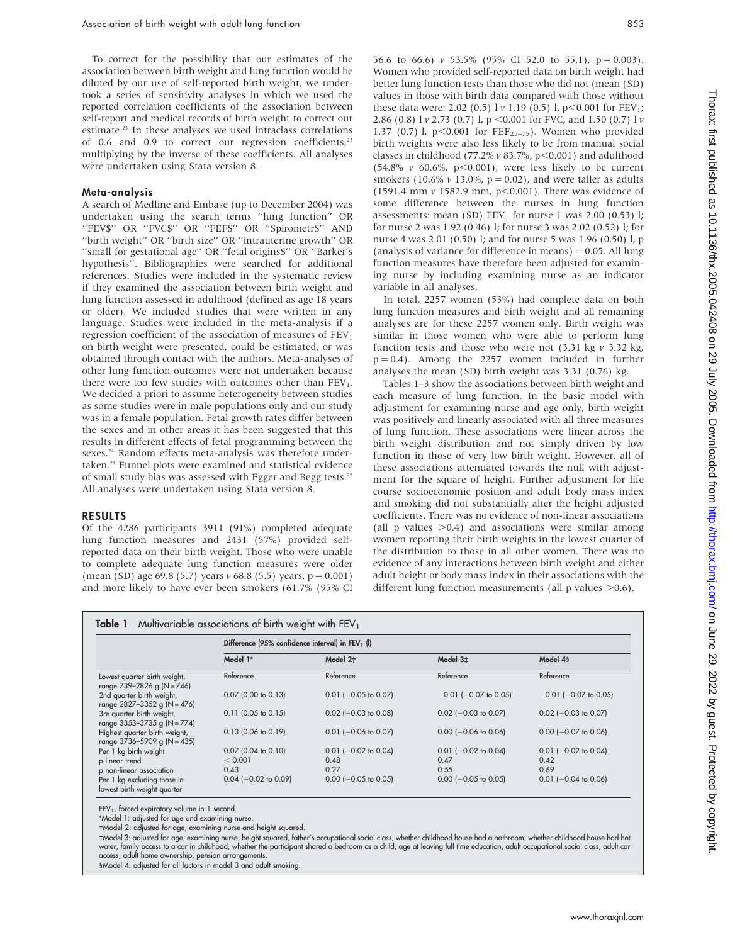To correct for the possibility that our estimates of the association between birth weight and lung function would be diluted by our use of self-reported birth weight, we undertook a series of sensitivity analyses in which we used the reported correlation coefficients of the association between self-report and medical records of birth weight to correct our estimate.23 In these analyses we used intraclass correlations of 0.6 and 0.9 to correct our regression coefficients,<sup>23</sup> multiplying by the inverse of these coefficients. All analyses were undertaken using Stata version 8.

### Meta-analysis

A search of Medline and Embase (up to December 2004) was undertaken using the search terms ''lung function'' OR ''FEV\$'' OR ''FVC\$'' OR ''FEF\$'' OR ''Spirometr\$'' AND ''birth weight'' OR ''birth size'' OR ''intrauterine growth'' OR ''small for gestational age'' OR ''fetal origins\$'' OR ''Barker's hypothesis''. Bibliographies were searched for additional references. Studies were included in the systematic review if they examined the association between birth weight and lung function assessed in adulthood (defined as age 18 years or older). We included studies that were written in any language. Studies were included in the meta-analysis if a regression coefficient of the association of measures of  $FEV<sub>1</sub>$ on birth weight were presented, could be estimated, or was obtained through contact with the authors. Meta-analyses of other lung function outcomes were not undertaken because there were too few studies with outcomes other than  $FEV_1$ . We decided a priori to assume heterogeneity between studies as some studies were in male populations only and our study was in a female population. Fetal growth rates differ between the sexes and in other areas it has been suggested that this results in different effects of fetal programming between the sexes.<sup>24</sup> Random effects meta-analysis was therefore undertaken.25 Funnel plots were examined and statistical evidence of small study bias was assessed with Egger and Begg tests.<sup>25</sup> All analyses were undertaken using Stata version 8.

### RESULTS

Of the 4286 participants 3911 (91%) completed adequate lung function measures and 2431 (57%) provided selfreported data on their birth weight. Those who were unable to complete adequate lung function measures were older (mean (SD) age 69.8 (5.7) years  $v$  68.8 (5.5) years,  $p = 0.001$ ) and more likely to have ever been smokers (61.7% (95% CI 56.6 to 66.6)  $\nu$  53.5% (95% CI 52.0 to 55.1),  $p = 0.003$ ). Women who provided self-reported data on birth weight had better lung function tests than those who did not (mean (SD) values in those with birth data compared with those without these data were: 2.02 (0.5)  $l \nu$  1.19 (0.5) l, p<0.001 for FEV<sub>1</sub>; 2.86 (0.8) l  $\nu$  2.73 (0.7) l, p <0.001 for FVC, and 1.50 (0.7) l  $\nu$ 1.37 (0.7) l,  $p<0.001$  for FEF<sub>25-75</sub>). Women who provided birth weights were also less likely to be from manual social classes in childhood (77.2%  $v$  83.7%, p<0.001) and adulthood (54.8%  $v$  60.6%, p<0.001), were less likely to be current smokers (10.6%  $\nu$  13.0%, p = 0.02), and were taller as adults (1591.4 mm  $\nu$  1582.9 mm, p<0.001). There was evidence of some difference between the nurses in lung function assessments: mean (SD)  $FEV<sub>1</sub>$  for nurse 1 was 2.00 (0.53) l; for nurse 2 was 1.92 (0.46) l; for nurse 3 was 2.02 (0.52) l; for nurse 4 was 2.01 (0.50) l; and for nurse 5 was 1.96 (0.50) l, p  $(analysis of variance for difference in means) = 0.05$ . All lung function measures have therefore been adjusted for examining nurse by including examining nurse as an indicator variable in all analyses.

In total, 2257 women (53%) had complete data on both lung function measures and birth weight and all remaining analyses are for these 2257 women only. Birth weight was similar in those women who were able to perform lung function tests and those who were not  $(3.31 \text{ kg } v)$  3.32 kg,  $p = 0.4$ ). Among the 2257 women included in further analyses the mean (SD) birth weight was 3.31 (0.76) kg.

Tables 1–3 show the associations between birth weight and each measure of lung function. In the basic model with adjustment for examining nurse and age only, birth weight was positively and linearly associated with all three measures of lung function. These associations were linear across the birth weight distribution and not simply driven by low function in those of very low birth weight. However, all of these associations attenuated towards the null with adjustment for the square of height. Further adjustment for life course socioeconomic position and adult body mass index and smoking did not substantially alter the height adjusted coefficients. There was no evidence of non-linear associations (all p values  $>0.4$ ) and associations were similar among women reporting their birth weights in the lowest quarter of the distribution to those in all other women. There was no evidence of any interactions between birth weight and either adult height or body mass index in their associations with the different lung function measurements (all  $p$  values  $>0.6$ ).

|                                                                  | Difference (95% confidence interval) in $FEV_1$ (I) |                        |                            |                            |  |
|------------------------------------------------------------------|-----------------------------------------------------|------------------------|----------------------------|----------------------------|--|
|                                                                  | Model 1*                                            | Model 2+               | Model 3±                   | Model 4§                   |  |
| Lowest quarter birth weight,<br>range 739-2826 g (N=746)         | Reference                                           | Reference              | Reference                  | Reference                  |  |
| 2nd quarter birth weight,<br>range $2827 - 3352$ g (N = 476)     | $0.07$ (0.00 to 0.13)                               | $0.01$ (-0.05 to 0.07) | $-0.01$ ( $-0.07$ to 0.05) | $-0.01$ ( $-0.07$ to 0.05) |  |
| 3re quarter birth weight,<br>range 3353-3735 g (N = 774)         | $0.11$ (0.05 to 0.15)                               | $0.02$ (-0.03 to 0.08) | $0.02$ (-0.03 to 0.07)     | $0.02$ (-0.03 to 0.07)     |  |
| Highest quarter birth weight,<br>range $3736 - 5909$ g (N = 435) | $0.13$ (0.06 to 0.19)                               | $0.01$ (-0.06 to 0.07) | $0.00$ (-0.06 to 0.06)     | $0.00$ (-0.07 to 0.06)     |  |
| Per 1 kg birth weight                                            | $0.07$ (0.04 to 0.10)                               | $0.01$ (-0.02 to 0.04) | $0.01$ (-0.02 to 0.04)     | $0.01$ (-0.02 to 0.04)     |  |
| p linear trend                                                   | < 0.001                                             | 0.48                   | 0.47                       | 0.42                       |  |
| p non-linear association                                         | 0.43                                                | 0.27                   | 0.55                       | 0.69                       |  |
| Per 1 kg excluding those in<br>lowest birth weight quarter       | $0.04$ (-0.02 to 0.09)                              | $0.00$ (-0.05 to 0.05) | $0.00$ (-0.05 to 0.05)     | $0.01$ (-0.04 to 0.06)     |  |

FEV<sub>1</sub>, forced expiratory volume in 1 second. \*Model 1: adjusted for age and examining nurse.

Model 2: adjusted for age, examining nurse and height squared.

`Model 3: adjusted for age, examining nurse, height squared, father's occupational social class, whether childhood house had a bathroom, whether childhood house had hot water, family access to a car in childhood, whether the participant shared a bedroom as a child, age at leaving full time education, adult occupational social class, adult car access, adult home ownership, pension arrangements.

§Model 4: adjusted for all factors in model 3 and adult smoking.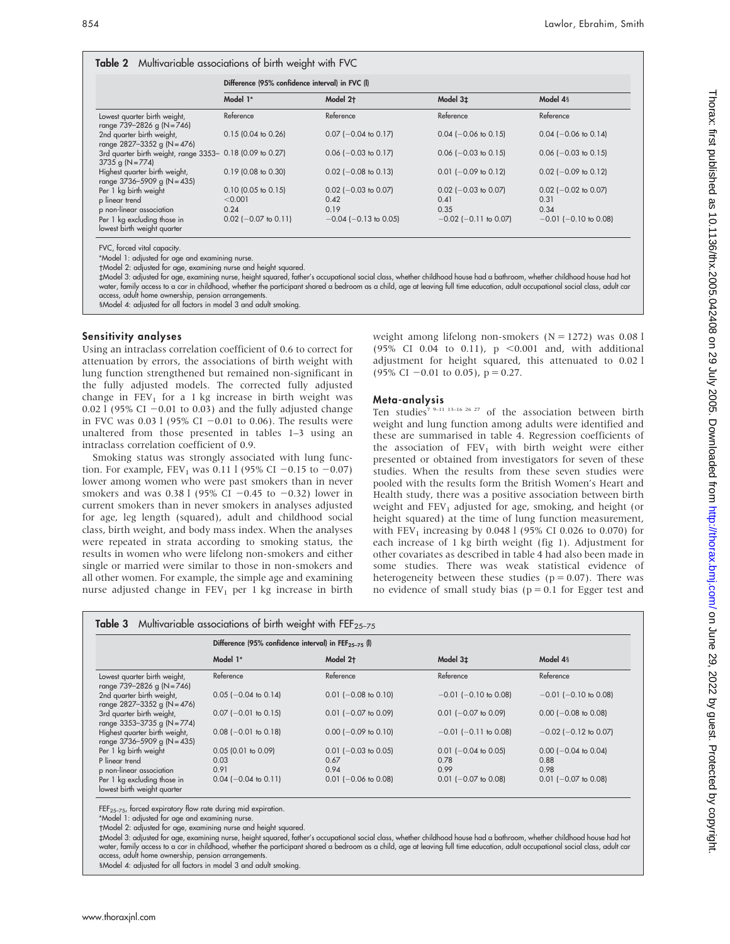|                                                                                        | Difference (95% confidence interval) in FVC (I) |                                    |                                    |                                    |  |
|----------------------------------------------------------------------------------------|-------------------------------------------------|------------------------------------|------------------------------------|------------------------------------|--|
|                                                                                        | Model 1*                                        | Model 2+                           | Model 3±                           | Model 4§                           |  |
| Lowest quarter birth weight,<br>range 739-2826 g (N=746)                               | Reference                                       | Reference                          | Reference                          | Reference                          |  |
| 2nd quarter birth weight,<br>range $2827 - 3352$ g (N = 476)                           | $0.15(0.04)$ to $0.26$                          | $0.07$ (-0.04 to 0.17)             | $0.04$ (-0.06 to 0.15)             | $0.04$ (-0.06 to 0.14)             |  |
| 3rd quarter birth weight, range 3353- 0.18 (0.09 to 0.27)<br>$3735 g (N = 774)$        |                                                 | $0.06$ (-0.03 to 0.17)             | $0.06$ (-0.03 to 0.15)             | $0.06$ ( $-0.03$ to 0.15)          |  |
| Highest quarter birth weight,<br>range $3736 - 5909$ g (N = 435)                       | $0.19$ (0.08 to 0.30)                           | $0.02$ (-0.08 to 0.13)             | $0.01$ (-0.09 to 0.12)             | $0.02$ (-0.09 to 0.12)             |  |
| Per 1 kg birth weight<br>p linear trend                                                | $0.10$ (0.05 to 0.15)<br>< 0.001                | $0.02$ (-0.03 to 0.07)<br>0.42     | $0.02$ (-0.03 to 0.07)<br>0.41     | $0.02$ (-0.02 to 0.07)<br>0.31     |  |
| p non-linear association<br>Per 1 kg excluding those in<br>lowest birth weight quarter | 0.24<br>$0.02$ (-0.07 to 0.11)                  | 0.19<br>$-0.04$ ( $-0.13$ to 0.05) | 0.35<br>$-0.02$ ( $-0.11$ to 0.07) | 0.34<br>$-0.01$ ( $-0.10$ to 0.08) |  |

FVC, forced vital capacity.

\*Model 1: adjusted for age and examining nurse.

Model 2: adjusted for age, examining nurse and height squared.

`Model 3: adjusted for age, examining nurse, height squared, father's occupational social class, whether childhood house had a bathroom, whether childhood house had hot water, family access to a car in childhood, whether the participant shared a bedroom as a child, age at leaving full time education, adult occupational social class, adult car access, adult home ownership, pension arrangements.

§Model 4: adjusted for all factors in model 3 and adult smoking.

### Sensitivity analyses

Using an intraclass correlation coefficient of 0.6 to correct for attenuation by errors, the associations of birth weight with lung function strengthened but remained non-significant in the fully adjusted models. The corrected fully adjusted change in  $FEV_1$  for a 1 kg increase in birth weight was  $0.02$  l (95% CI -0.01 to 0.03) and the fully adjusted change in FVC was 0.03 l (95% CI  $-0.01$  to 0.06). The results were unaltered from those presented in tables 1–3 using an intraclass correlation coefficient of 0.9.

Smoking status was strongly associated with lung function. For example,  $FEV_1$  was 0.11 l (95% CI -0.15 to -0.07) lower among women who were past smokers than in never smokers and was 0.38 l (95% CI  $-0.45$  to  $-0.32$ ) lower in current smokers than in never smokers in analyses adjusted for age, leg length (squared), adult and childhood social class, birth weight, and body mass index. When the analyses were repeated in strata according to smoking status, the results in women who were lifelong non-smokers and either single or married were similar to those in non-smokers and all other women. For example, the simple age and examining nurse adjusted change in  $FEV<sub>1</sub>$  per 1 kg increase in birth

weight among lifelong non-smokers  $(N = 1272)$  was 0.08 l (95% CI 0.04 to 0.11),  $p \le 0.001$  and, with additional adjustment for height squared, this attenuated to 0.02 l (95% CI  $-0.01$  to 0.05), p = 0.27.

## Meta-analysis

Ten studies<sup>7 9–11 13–16 26 27</sup> of the association between birth weight and lung function among adults were identified and these are summarised in table 4. Regression coefficients of the association of  $FEV<sub>1</sub>$  with birth weight were either presented or obtained from investigators for seven of these studies. When the results from these seven studies were pooled with the results form the British Women's Heart and Health study, there was a positive association between birth weight and  $FEV<sub>1</sub>$  adjusted for age, smoking, and height (or height squared) at the time of lung function measurement, with  $FEV_1$  increasing by 0.048 l (95% CI 0.026 to 0.070) for each increase of 1 kg birth weight (fig 1). Adjustment for other covariates as described in table 4 had also been made in some studies. There was weak statistical evidence of heterogeneity between these studies ( $p = 0.07$ ). There was no evidence of small study bias ( $p = 0.1$  for Egger test and

|                                                                  | Difference (95% confidence interval) in $FEF_{25-75}$ (l) |                        |                            |                              |  |
|------------------------------------------------------------------|-----------------------------------------------------------|------------------------|----------------------------|------------------------------|--|
|                                                                  | Model 1*                                                  | Model 2+               | Model 3±                   | Model 4§                     |  |
| Lowest quarter birth weight,<br>range 739-2826 g (N=746)         | Reference                                                 | Reference              | Reference                  | Reference                    |  |
| 2nd quarter birth weight,<br>range 2827-3352 g (N = 476)         | $0.05$ (-0.04 to 0.14)                                    | $0.01$ (-0.08 to 0.10) | $-0.01$ ( $-0.10$ to 0.08) | $-0.01$ ( $-0.10$ to 0.08)   |  |
| 3rd quarter birth weight,<br>range 3353-3735 g (N=774)           | $0.07$ (-0.01 to 0.15)                                    | $0.01$ (-0.07 to 0.09) | $0.01$ (-0.07 to 0.09)     | $0.00$ ( $-0.08$ to $0.08$ ) |  |
| Highest quarter birth weight,<br>range $3736 - 5909$ g (N = 435) | $0.08$ (-0.01 to 0.18)                                    | $0.00$ (-0.09 to 0.10) | $-0.01$ ( $-0.11$ to 0.08) | $-0.02$ ( $-0.12$ to 0.07)   |  |
| Per 1 kg birth weight                                            | $0.05$ (0.01 to 0.09)                                     | $0.01$ (-0.03 to 0.05) | $0.01$ (-0.04 to 0.05)     | $0.00$ (-0.04 to 0.04)       |  |
| P linear trend                                                   | 0.03                                                      | 0.67                   | 0.78                       | 0.88                         |  |
| p non-linear association                                         | 0.91                                                      | 0.94                   | 0.99                       | 0.98                         |  |
| Per 1 kg excluding those in<br>lowest birth weight quarter       | $0.04$ (-0.04 to 0.11)                                    | $0.01$ (-0.06 to 0.08) | $0.01$ (-0.07 to 0.08)     | $0.01$ (-0.07 to 0.08)       |  |

FEF<sub>25-75</sub>, forced expiratory flow rate during mid expiration.

\*Model 1: adjusted for age and examining nurse.

Model 2: adjusted for age, examining nurse and height squared.

`Model 3: adjusted for age, examining nurse, height squared, father's occupational social class, whether childhood house had a bathroom, whether childhood house had hot water, family access to a car in childhood, whether the participant shared a bedroom as a child, age at leaving full time education, adult occupational social class, adult car access, adult home ownership, pension arrangements.

1Model 4: adjusted for all factors in model 3 and adult smoking.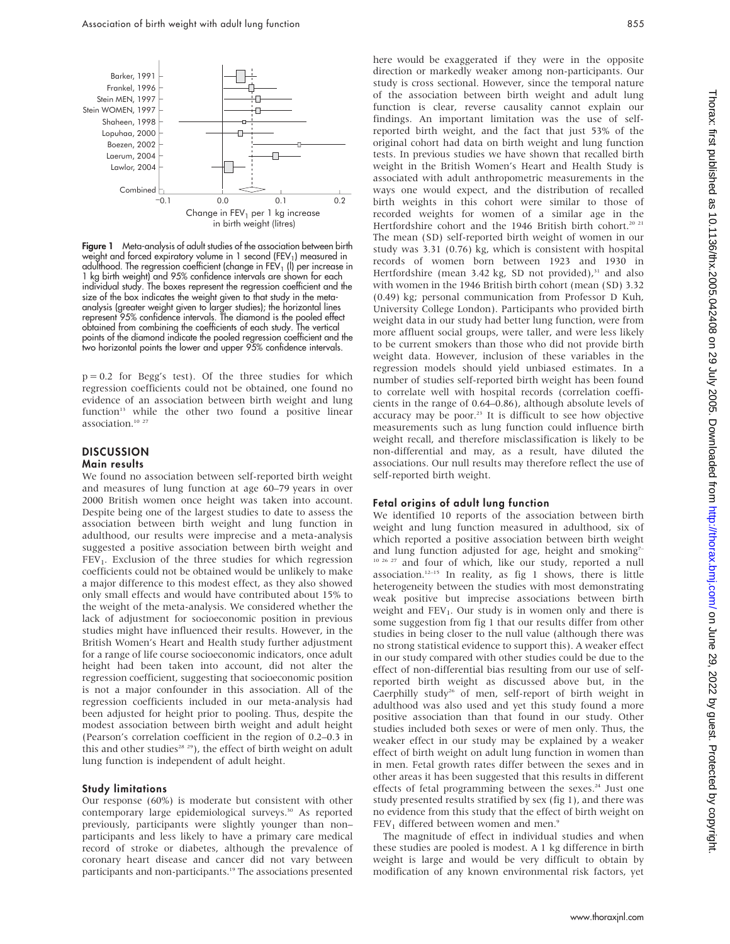

Figure 1 Meta-analysis of adult studies of the association between birth weight and forced expiratory volume in 1 second (FEV<sub>1</sub>) measured in adulthood. The regression coefficient (change in FEV<sub>1</sub> (I) per increase in 1 kg birth weight) and 95% confidence intervals are shown for each individual study. The boxes represent the regression coefficient and the size of the box indicates the weight given to that study in the metaanalysis (greater weight given to larger studies); the horizontal lines represent 95% confidence intervals. The diamond is the pooled effect obtained from combining the coefficients of each study. The vertical points of the diamond indicate the pooled regression coefficient and the two horizontal points the lower and upper 95% confidence intervals.

 $p = 0.2$  for Begg's test). Of the three studies for which regression coefficients could not be obtained, one found no evidence of an association between birth weight and lung function<sup>13</sup> while the other two found a positive linear association.<sup>10</sup><sup>27</sup>

## **DISCUSSION**

## Main results

We found no association between self-reported birth weight and measures of lung function at age 60–79 years in over 2000 British women once height was taken into account. Despite being one of the largest studies to date to assess the association between birth weight and lung function in adulthood, our results were imprecise and a meta-analysis suggested a positive association between birth weight and  $FEV<sub>1</sub>$ . Exclusion of the three studies for which regression coefficients could not be obtained would be unlikely to make a major difference to this modest effect, as they also showed only small effects and would have contributed about 15% to the weight of the meta-analysis. We considered whether the lack of adjustment for socioeconomic position in previous studies might have influenced their results. However, in the British Women's Heart and Health study further adjustment for a range of life course socioeconomic indicators, once adult height had been taken into account, did not alter the regression coefficient, suggesting that socioeconomic position is not a major confounder in this association. All of the regression coefficients included in our meta-analysis had been adjusted for height prior to pooling. Thus, despite the modest association between birth weight and adult height (Pearson's correlation coefficient in the region of 0.2–0.3 in this and other studies<sup>28</sup> <sup>29</sup>), the effect of birth weight on adult lung function is independent of adult height.

### Study limitations

Our response (60%) is moderate but consistent with other contemporary large epidemiological surveys.<sup>30</sup> As reported previously, participants were slightly younger than non– participants and less likely to have a primary care medical record of stroke or diabetes, although the prevalence of coronary heart disease and cancer did not vary between participants and non-participants.<sup>19</sup> The associations presented

here would be exaggerated if they were in the opposite direction or markedly weaker among non-participants. Our study is cross sectional. However, since the temporal nature of the association between birth weight and adult lung function is clear, reverse causality cannot explain our findings. An important limitation was the use of selfreported birth weight, and the fact that just 53% of the original cohort had data on birth weight and lung function tests. In previous studies we have shown that recalled birth weight in the British Women's Heart and Health Study is associated with adult anthropometric measurements in the ways one would expect, and the distribution of recalled birth weights in this cohort were similar to those of recorded weights for women of a similar age in the Hertfordshire cohort and the 1946 British birth cohort.<sup>20 21</sup> The mean (SD) self-reported birth weight of women in our study was 3.31 (0.76) kg, which is consistent with hospital records of women born between 1923 and 1930 in Hertfordshire (mean 3.42 kg, SD not provided), $31$  and also with women in the 1946 British birth cohort (mean (SD) 3.32 (0.49) kg; personal communication from Professor D Kuh, University College London). Participants who provided birth weight data in our study had better lung function, were from more affluent social groups, were taller, and were less likely to be current smokers than those who did not provide birth weight data. However, inclusion of these variables in the regression models should yield unbiased estimates. In a number of studies self-reported birth weight has been found to correlate well with hospital records (correlation coefficients in the range of 0.64–0.86), although absolute levels of accuracy may be poor.<sup>23</sup> It is difficult to see how objective measurements such as lung function could influence birth weight recall, and therefore misclassification is likely to be non-differential and may, as a result, have diluted the associations. Our null results may therefore reflect the use of self-reported birth weight.

## Fetal origins of adult lung function

We identified 10 reports of the association between birth weight and lung function measured in adulthood, six of which reported a positive association between birth weight and lung function adjusted for age, height and smoking $7-$ 10 26 27 and four of which, like our study, reported a null association.12–15 In reality, as fig 1 shows, there is little heterogeneity between the studies with most demonstrating weak positive but imprecise associations between birth weight and  $FEV<sub>1</sub>$ . Our study is in women only and there is some suggestion from fig 1 that our results differ from other studies in being closer to the null value (although there was no strong statistical evidence to support this). A weaker effect in our study compared with other studies could be due to the effect of non-differential bias resulting from our use of selfreported birth weight as discussed above but, in the Caerphilly study<sup>26</sup> of men, self-report of birth weight in adulthood was also used and yet this study found a more positive association than that found in our study. Other studies included both sexes or were of men only. Thus, the weaker effect in our study may be explained by a weaker effect of birth weight on adult lung function in women than in men. Fetal growth rates differ between the sexes and in other areas it has been suggested that this results in different effects of fetal programming between the sexes.<sup>24</sup> Just one study presented results stratified by sex (fig 1), and there was no evidence from this study that the effect of birth weight on  $FEV<sub>1</sub>$  differed between women and men.<sup>9</sup>

The magnitude of effect in individual studies and when these studies are pooled is modest. A 1 kg difference in birth weight is large and would be very difficult to obtain by modification of any known environmental risk factors, yet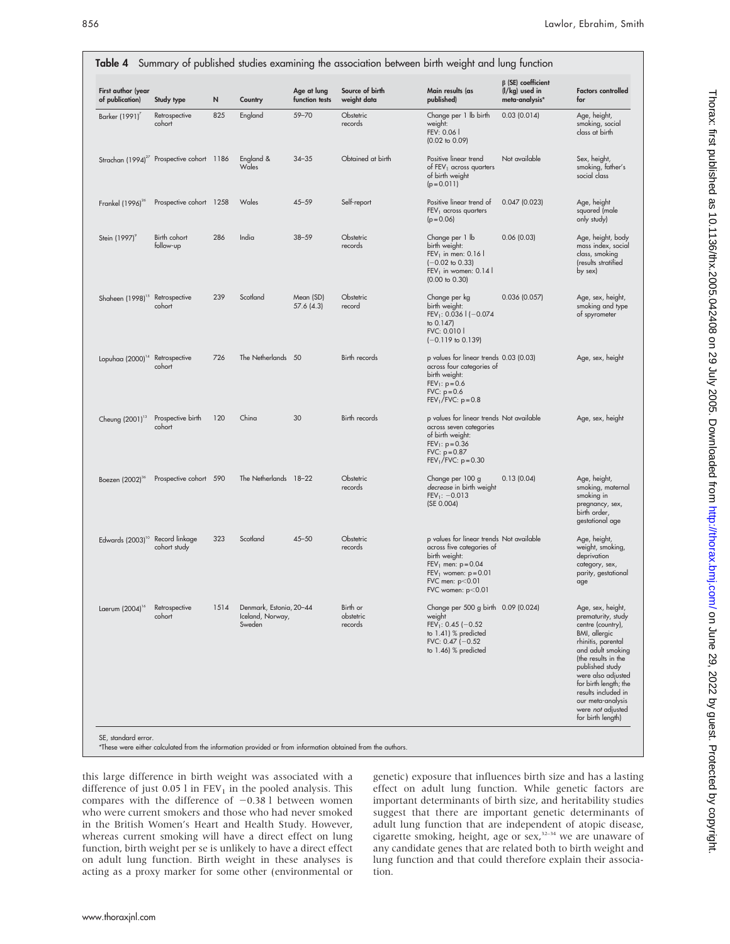| First author (year<br>of publication)      | Study type                                            | N    | Country                                               | Age at lung<br>function tests | Source of birth<br>weight data   | Main results (as<br>published)                                                                                                                                                                     | $\beta$ (SE) coefficient<br>$\frac{1}{\text{kg}}$ used in<br>meta-analysis* | <b>Factors controlled</b><br>for                                                                                                                                                                                                                                                                        |
|--------------------------------------------|-------------------------------------------------------|------|-------------------------------------------------------|-------------------------------|----------------------------------|----------------------------------------------------------------------------------------------------------------------------------------------------------------------------------------------------|-----------------------------------------------------------------------------|---------------------------------------------------------------------------------------------------------------------------------------------------------------------------------------------------------------------------------------------------------------------------------------------------------|
| Barker (1991) <sup>7</sup>                 | Retrospective<br>cohort                               | 825  | England                                               | 59-70                         | Obstetric<br>records             | Change per 1 lb birth<br>weight:<br>FEV: 0.06<br>$(0.02 \text{ to } 0.09)$                                                                                                                         | 0.03(0.014)                                                                 | Age, height,<br>smoking, social<br>class at birth                                                                                                                                                                                                                                                       |
|                                            | Strachan (1994) <sup>27</sup> Prospective cohort 1186 |      | England &<br>Wales                                    | $34 - 35$                     | Obtained at birth                | Positive linear trend<br>of $FEV1$ across quarters<br>of birth weight<br>$(p=0.011)$                                                                                                               | Not available                                                               | Sex, height,<br>smoking, father's<br>social class                                                                                                                                                                                                                                                       |
| Frankel (1996) <sup>26</sup>               | Prospective cohort 1258                               |      | Wales                                                 | $45 - 59$                     | Self-report                      | Positive linear trend of<br>$FEV1$ across quarters<br>$(p = 0.06)$                                                                                                                                 | $0.047$ (0.023)                                                             | Age, height<br>squared (male<br>only study)                                                                                                                                                                                                                                                             |
| Stein (1997) <sup>9</sup>                  | Birth cohort<br>follow-up                             | 286  | India                                                 | $38 - 59$                     | Obstetric<br>records             | Change per 1 lb<br>birth weight:<br>$FEV1$ in men: 0.16  <br>$(-0.02 \text{ to } 0.33)$<br>$FEV1$ in women: 0.14 l<br>$(0.00 \text{ to } 0.30)$                                                    | 0.06(0.03)                                                                  | Age, height, body<br>mass index, social<br>class, smoking<br>(results stratified<br>by sex)                                                                                                                                                                                                             |
| Shaheen (1998) <sup>15</sup> Retrospective | cohort                                                | 239  | Scotland                                              | Mean (SD)<br>57.6(4.3)        | Obstetric<br>record              | Change per kg<br>birth weight:<br>FEV <sub>1</sub> : 0.036 $\sqrt{-0.074}$<br>to 0.147)<br>FVC: 0.010<br>$(-0.119)$ to 0.139)                                                                      | 0.036(0.057)                                                                | Age, sex, height,<br>smoking and type<br>of spyrometer                                                                                                                                                                                                                                                  |
| Lopuhaa (2000) <sup>14</sup> Retrospective | cohort                                                | 726  | The Netherlands 50                                    |                               | Birth records                    | p values for linear trends 0.03 (0.03)<br>across four categories of<br>birth weight:<br>$FEV_1: p = 0.6$<br>$FVC: p = 0.6$<br>$FEV1/FVC: p=0.8$                                                    |                                                                             | Age, sex, height                                                                                                                                                                                                                                                                                        |
| Cheung $(2001)^{13}$                       | Prospective birth<br>cohort                           | 120  | China                                                 | 30                            | Birth records                    | p values for linear trends Not available<br>across seven categories<br>of birth weight:<br>$FEV_1: p=0.36$<br>$FVC: p = 0.87$<br>$FEV1/FVC: p = 0.30$                                              |                                                                             | Age, sex, height                                                                                                                                                                                                                                                                                        |
| Boezen (2002) <sup>30</sup>                | Prospective cohort 590                                |      | The Netherlands 18-22                                 |                               | Obstetric<br>records             | Change per 100 g<br>decrease in birth weight<br>$FEV_1: -0.013$<br>(SE 0.004)                                                                                                                      | 0.13(0.04)                                                                  | Age, height,<br>smoking, maternal<br>smoking in<br>pregnancy, sex,<br>birth order,<br>gestational age                                                                                                                                                                                                   |
| Edwards (2003) <sup>10</sup>               | Record linkage<br>cohort study                        | 323  | Scotland                                              | $45 - 50$                     | Obstetric<br>records             | p values for linear trends Not available<br>across five categories of<br>birth weight:<br>FEV <sub>1</sub> men: $p = 0.04$<br>$FEV1$ women: $p = 0.01$<br>FVC men: p<0.01<br>FVC women: $p < 0.01$ |                                                                             | Age, height,<br>weight, smoking,<br>deprivation<br>category, sex,<br>parity, gestational<br>uge                                                                                                                                                                                                         |
| Laerum (2004) <sup>16</sup>                | Retrospective<br>cohort                               | 1514 | Denmark, Estonia, 20-44<br>Iceland, Norway,<br>Sweden |                               | Birth or<br>obstetric<br>records | Change per 500 g birth 0.09 (0.024)<br>weight<br>FEV <sub>1</sub> : 0.45 ( $-0.52$ )<br>to 1.41) % predicted<br>FVC: $0.47$ (-0.52)<br>to $1.46$ ) % predicted                                     |                                                                             | Age, sex, height,<br>prematurity, study<br>centre (country),<br>BMI, allergic<br>rhinitis, parental<br>and adult smoking<br>(the results in the<br>published study<br>were also adjusted<br>for birth length; the<br>results included in<br>our meta-analysis<br>were not adjusted<br>for birth length) |

this large difference in birth weight was associated with a difference of just 0.05 l in  $FEV<sub>1</sub>$  in the pooled analysis. This compares with the difference of  $-0.38$  l between women who were current smokers and those who had never smoked in the British Women's Heart and Health Study. However, whereas current smoking will have a direct effect on lung function, birth weight per se is unlikely to have a direct effect on adult lung function. Birth weight in these analyses is acting as a proxy marker for some other (environmental or

genetic) exposure that influences birth size and has a lasting effect on adult lung function. While genetic factors are important determinants of birth size, and heritability studies suggest that there are important genetic determinants of adult lung function that are independent of atopic disease, cigarette smoking, height, age or sex,32–34 we are unaware of any candidate genes that are related both to birth weight and lung function and that could therefore explain their association.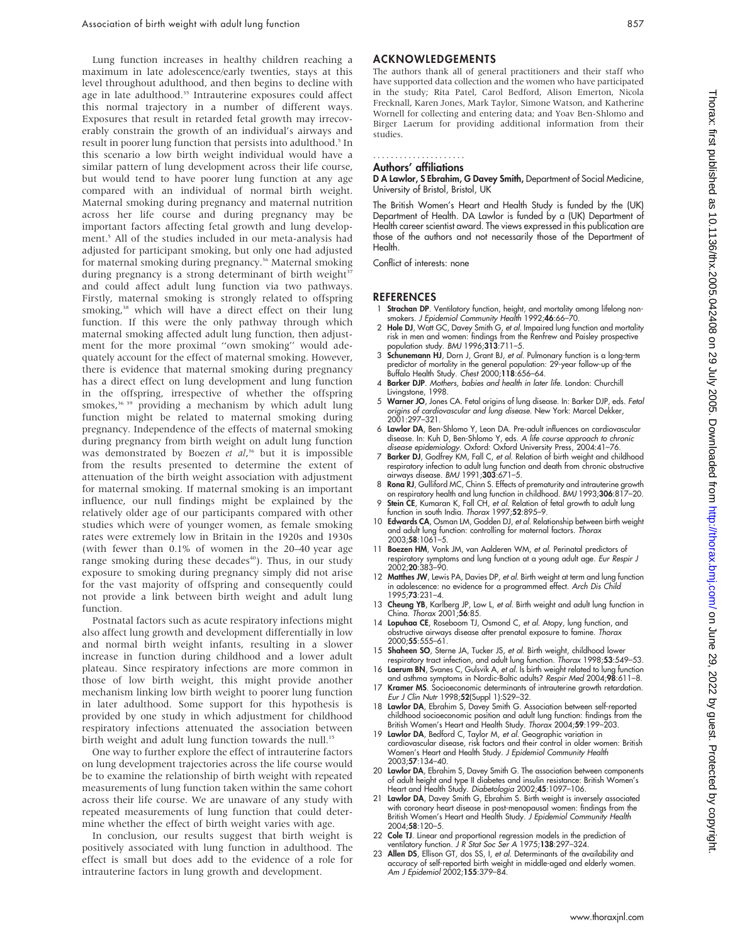Lung function increases in healthy children reaching a maximum in late adolescence/early twenties, stays at this level throughout adulthood, and then begins to decline with age in late adulthood.<sup>35</sup> Intrauterine exposures could affect this normal trajectory in a number of different ways. Exposures that result in retarded fetal growth may irrecoverably constrain the growth of an individual's airways and result in poorer lung function that persists into adulthood.<sup>5</sup> In this scenario a low birth weight individual would have a similar pattern of lung development across their life course, but would tend to have poorer lung function at any age compared with an individual of normal birth weight. Maternal smoking during pregnancy and maternal nutrition across her life course and during pregnancy may be important factors affecting fetal growth and lung development.<sup>5</sup> All of the studies included in our meta-analysis had adjusted for participant smoking, but only one had adjusted for maternal smoking during pregnancy.<sup>36</sup> Maternal smoking during pregnancy is a strong determinant of birth weight<sup>37</sup> and could affect adult lung function via two pathways. Firstly, maternal smoking is strongly related to offspring smoking,<sup>38</sup> which will have a direct effect on their lung function. If this were the only pathway through which maternal smoking affected adult lung function, then adjustment for the more proximal ''own smoking'' would adequately account for the effect of maternal smoking. However, there is evidence that maternal smoking during pregnancy has a direct effect on lung development and lung function in the offspring, irrespective of whether the offspring smokes,<sup>36 39</sup> providing a mechanism by which adult lung function might be related to maternal smoking during pregnancy. Independence of the effects of maternal smoking during pregnancy from birth weight on adult lung function was demonstrated by Boezen et al,<sup>36</sup> but it is impossible from the results presented to determine the extent of attenuation of the birth weight association with adjustment for maternal smoking. If maternal smoking is an important influence, our null findings might be explained by the relatively older age of our participants compared with other studies which were of younger women, as female smoking rates were extremely low in Britain in the 1920s and 1930s (with fewer than 0.1% of women in the 20–40 year age range smoking during these decades<sup>40</sup>). Thus, in our study exposure to smoking during pregnancy simply did not arise for the vast majority of offspring and consequently could not provide a link between birth weight and adult lung function.

Postnatal factors such as acute respiratory infections might also affect lung growth and development differentially in low and normal birth weight infants, resulting in a slower increase in function during childhood and a lower adult plateau. Since respiratory infections are more common in those of low birth weight, this might provide another mechanism linking low birth weight to poorer lung function in later adulthood. Some support for this hypothesis is provided by one study in which adjustment for childhood respiratory infections attenuated the association between birth weight and adult lung function towards the null.<sup>15</sup>

One way to further explore the effect of intrauterine factors on lung development trajectories across the life course would be to examine the relationship of birth weight with repeated measurements of lung function taken within the same cohort across their life course. We are unaware of any study with repeated measurements of lung function that could determine whether the effect of birth weight varies with age.

In conclusion, our results suggest that birth weight is positively associated with lung function in adulthood. The effect is small but does add to the evidence of a role for intrauterine factors in lung growth and development.

## ACKNOWLEDGEMENTS

The authors thank all of general practitioners and their staff who have supported data collection and the women who have participated in the study; Rita Patel, Carol Bedford, Alison Emerton, Nicola Frecknall, Karen Jones, Mark Taylor, Simone Watson, and Katherine Wornell for collecting and entering data; and Yoav Ben-Shlomo and Birger Laerum for providing additional information from their studies.

#### Authors' affiliations .....................

### D A Lawlor, S Ebrahim, G Davey Smith, Department of Social Medicine, University of Bristol, Bristol, UK

The British Women's Heart and Health Study is funded by the (UK) Department of Health. DA Lawlor is funded by a (UK) Department of Health career scientist award. The views expressed in this publication are those of the authors and not necessarily those of the Department of Health.

Conflict of interests: none

#### **REFERENCES**

- 1 Strachan DP. Ventilatory function, height, and mortality among lifelong non-smokers. J Epidemiol Community Health 1992;46:66–70.
- 2 Hole DJ, Watt GC, Davey Smith G, et al. Impaired lung function and mortality risk in men and women: findings from the Renfrew and Paisley prospective population study. BMJ 1996;313:711-5.
- 3 Schunemann HJ, Dorn J, Grant BJ, et al. Pulmonary function is a long-term predictor of mortality in the general population: 29-year follow-up of the Buffalo Health Study. Chest 2000;118:656–64.
- 4 Barker DJP. Mothers, babies and health in later life. London: Churchill Livingstone, 1998.
- 5 Warner JO, Jones CA. Fetal origins of lung disease. In: Barker DJP, eds. Fetal origins of cardiovascular and lung disease. New York: Marcel Dekker, 2001:297–321.
- 6 Lawlor DA, Ben-Shlomo Y, Leon DA. Pre-adult influences on cardiovascular disease. In: Kuh D, Ben-Shlomo Y, eds. *A life course approach to chronic<br>disease epidemiology. Oxford: Oxford University Press, 2004:41–76.<br>7 Barker DJ, Godfrey KM, Fall C, <i>et al.* Relation of birth weight and childhoo
- respiratory infection to adult lung function and death from chronic obstructive airways disease. BMJ 1991;303:671–5.
- 8 Rona RJ, Gulliford MC, Chinn S. Effects of prematurity and intrauterine growth on respiratory health and lung function in childhood. BMJ 1993;306:817–20.
- 9 Stein CE, Kumaran K, Fall CH, et al. Relation of fetal growth to adult lung function in south India. Thorax 1997;52:895–9.
- 10 Edwards CA, Osman LM, Godden DJ, et al. Relationship between birth weight and adult lung function: controlling for maternal factors. Thorax 2003;58:1061–5.
- 11 Boezen HM, Vonk JM, van Aalderen WM, et al. Perinatal predictors of respiratory symptoms and lung function at a young adult age. *Eur Respir J*<br>2002;**20**:383–90.
- 12 Matthes JW, Lewis PA, Davies DP, et al. Birth weight at term and lung function in adolescence: no evidence for a programmed effect. Arch Dis Child 1995;73:231–4.
- 13 Cheung YB, Karlberg JP, Low L, et al. Birth weight and adult lung function in China. Thorax 2001;56:85.
- 14 Lopuhaa CE, Roseboom TJ, Osmond C, et al. Atopy, lung function, and obstructive airways disease after prenatal exposure to famine. Thorax 2000;55:555–61.
- 15 Shaheen SO, Sterne JA, Tucker JS, et al. Birth weight, childhood lower respiratory tract infection, and adult lung function. Thorax 1998;53:549–53.
- 16 Laerum BN, Svanes C, Gulsvik A, et al. Is birth weight related to lung function and asthma symptoms in Nordic-Baltic adults? Respir Med 2004;98:611–8.
- 17 Kramer MS. Socioeconomic determinants of intrauterine growth retardation. Eur J Clin Nutr 1998;52(Suppl 1):S29–32.
- 18 Lawlor DA, Ebrahim S, Davey Smith G. Association between self-reported childhood socioeconomic position and adult lung function: findings from the
- British Women's Heart and Health Study. *Thorax* 2004;**59**:199–203.<br>19 **Lawlor DA**, Bedford C, Taylor M, *et al.* Geographic variation in<br>cardiovascular disease, risk factors and their control in older women: British Women's Heart and Health Study. J Epidemiol Community Health 2003;57:134–40.
- 20 Lawlor DA, Ebrahim S, Davey Smith G. The association between components of adult height and type II diabetes and insulin resistance: British Women's Heart and Health Study. Diabetologia 2002;45:1097–106.
- 21 Lawlor DA, Davey Smith G, Ebrahim S. Birth weight is inversely associated with coronary heart disease in post-menopausal women: findings from the British Women's Heart and Health Study. J Epidemiol Community Health 2004;58:120–5.
- 22 Cole TJ. Linear and proportional regression models in the prediction of ventilatory function. J R Stat Soc Ser A 1975;138:297–324.
- 23 Allen DS, Ellison GT, dos SS, I, *et al.* Determinants of the availability and<br>accuracy of self-reported birth weight in middle-aged and elderly women.<br>Am *J Epidemiol* 2002;1**55**:379–84.